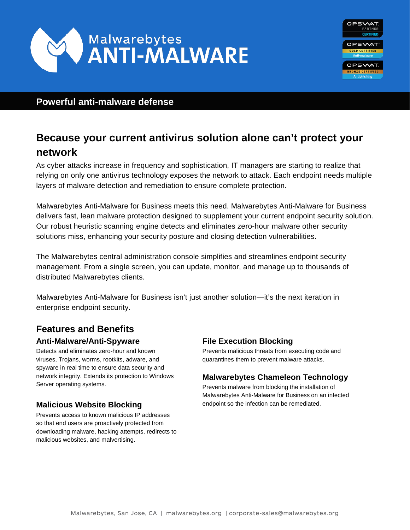



# **Powerful anti-malware defense**

# **Because your current antivirus solution alone can't protect your network**

As cyber attacks increase in frequency and sophistication, IT managers are starting to realize that relying on only one antivirus technology exposes the network to attack. Each endpoint needs multiple layers of malware detection and remediation to ensure complete protection.

Malwarebytes Anti-Malware for Business meets this need. Malwarebytes Anti-Malware for Business delivers fast, lean malware protection designed to supplement your current endpoint security solution. Our robust heuristic scanning engine detects and eliminates zero-hour malware other security solutions miss, enhancing your security posture and closing detection vulnerabilities.

The Malwarebytes central administration console simplifies and streamlines endpoint security management. From a single screen, you can update, monitor, and manage up to thousands of distributed Malwarebytes clients.

Malwarebytes Anti-Malware for Business isn't just another solution—it's the next iteration in enterprise endpoint security.

# **Features and Benefits Anti-Malware/Anti-Spyware**

Detects and eliminates zero-hour and known viruses, Trojans, worms, rootkits, adware, and spyware in real time to ensure data security and network integrity. Extends its protection to Windows Server operating systems.

# **Malicious Website Blocking**

Prevents access to known malicious IP addresses so that end users are proactively protected from downloading malware, hacking attempts, redirects to malicious websites, and malvertising.

## **File Execution Blocking**

Prevents malicious threats from executing code and quarantines them to prevent malware attacks.

## **Malwarebytes Chameleon Technology**

Prevents malware from blocking the installation of Malwarebytes Anti-Malware for Business on an infected endpoint so the infection can be remediated.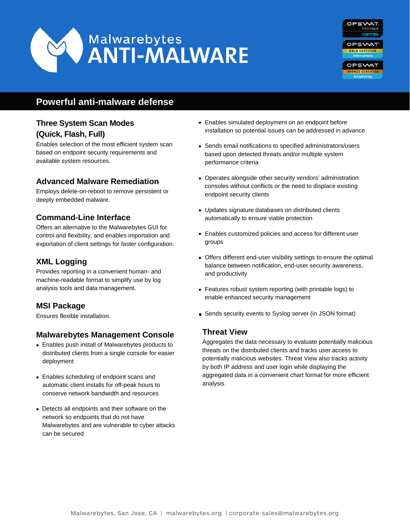



# **Powerful anti-malware defense**

# **Three System Scan Modes (Quick, Flash, Full)**

Enables selection of the most efficient system scan based on endpoint security requirements and available system resources.

### **Advanced Malware Remediation**

Employs delete-on-reboot to remove persistent or deeply embedded malware.

### **Command-Line Interface**

Offers an alternative to the Malwarebytes GUI for control and flexibility, and enables importation and exportation of client settings for faster configuration.

### **XML Logging**

Provides reporting in a convenient human- and machine-readable format to simplify use by log analysis tools and data management.

## **MSI Package**

Ensures flexible installation.

### **Malwarebytes Management Console**

- Enables push install of Malwarebytes products to distributed clients from a single console for easier deployment
- Enables scheduling of endpoint scans and automatic client installs for off-peak hours to conserve network bandwidth and resources
- Detects all endpoints and their software on the network so endpoints that do not have Malwarebytes and are vulnerable to cyber attacks can be secured
- Enables simulated deployment on an endpoint before installation so potential issues can be addressed in advance
- Sends email notifications to specified administrators/users based upon detected threats and/or multiple system performance criteria
- Operates alongside other security vendors' administration consoles without conflicts or the need to displace existing endpoint security clients
- Updates signature databases on distributed clients automatically to ensure viable protection
- Enables customized policies and access for different user groups
- Offers different end-user visibility settings to ensure the optimal balance between notification, end-user security awareness, and productivity
- Features robust system reporting (with printable logs) to enable enhanced security management
- Sends security events to Syslog server (in JSON format)

### **Threat View**

Aggregates the data necessary to evaluate potentially malicious threats on the distributed clients and tracks user access to potentially malicious websites. Threat View also tracks activity by both IP address and user login while displaying the aggregated data in a convenient chart format for more efficient analysis.